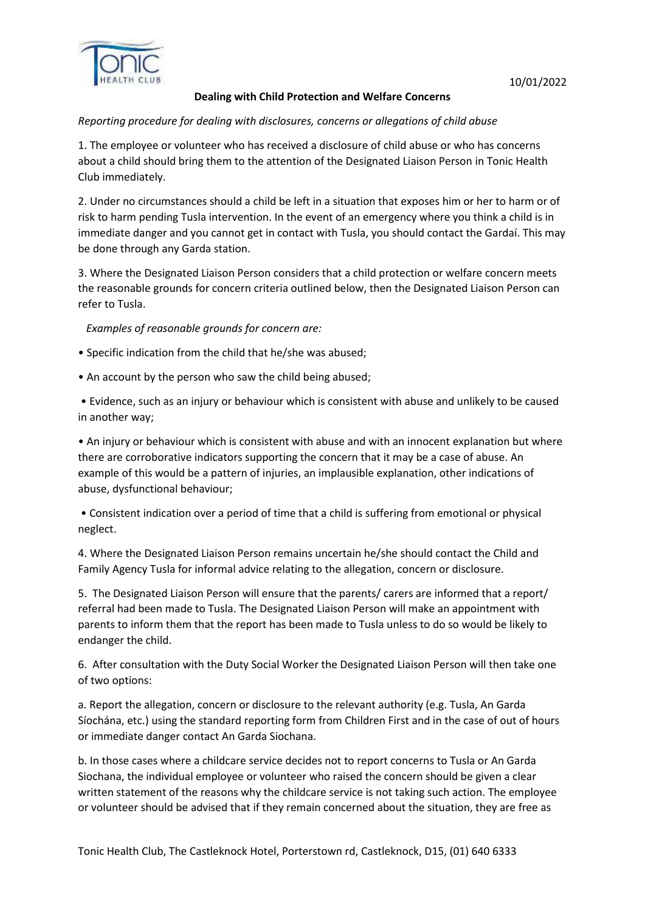

# **Dealing with Child Protection and Welfare Concerns**

### *Reporting procedure for dealing with disclosures, concerns or allegations of child abuse*

1. The employee or volunteer who has received a disclosure of child abuse or who has concerns about a child should bring them to the attention of the Designated Liaison Person in Tonic Health Club immediately.

2. Under no circumstances should a child be left in a situation that exposes him or her to harm or of risk to harm pending Tusla intervention. In the event of an emergency where you think a child is in immediate danger and you cannot get in contact with Tusla, you should contact the Gardaí. This may be done through any Garda station.

3. Where the Designated Liaison Person considers that a child protection or welfare concern meets the reasonable grounds for concern criteria outlined below, then the Designated Liaison Person can refer to Tusla.

*Examples of reasonable grounds for concern are:* 

- Specific indication from the child that he/she was abused;
- An account by the person who saw the child being abused;

• Evidence, such as an injury or behaviour which is consistent with abuse and unlikely to be caused in another way;

• An injury or behaviour which is consistent with abuse and with an innocent explanation but where there are corroborative indicators supporting the concern that it may be a case of abuse. An example of this would be a pattern of injuries, an implausible explanation, other indications of abuse, dysfunctional behaviour;

• Consistent indication over a period of time that a child is suffering from emotional or physical neglect.

4. Where the Designated Liaison Person remains uncertain he/she should contact the Child and Family Agency Tusla for informal advice relating to the allegation, concern or disclosure.

5. The Designated Liaison Person will ensure that the parents/ carers are informed that a report/ referral had been made to Tusla. The Designated Liaison Person will make an appointment with parents to inform them that the report has been made to Tusla unless to do so would be likely to endanger the child.

6. After consultation with the Duty Social Worker the Designated Liaison Person will then take one of two options:

a. Report the allegation, concern or disclosure to the relevant authority (e.g. Tusla, An Garda Síochána, etc.) using the standard reporting form from Children First and in the case of out of hours or immediate danger contact An Garda Siochana.

b. In those cases where a childcare service decides not to report concerns to Tusla or An Garda Siochana, the individual employee or volunteer who raised the concern should be given a clear written statement of the reasons why the childcare service is not taking such action. The employee or volunteer should be advised that if they remain concerned about the situation, they are free as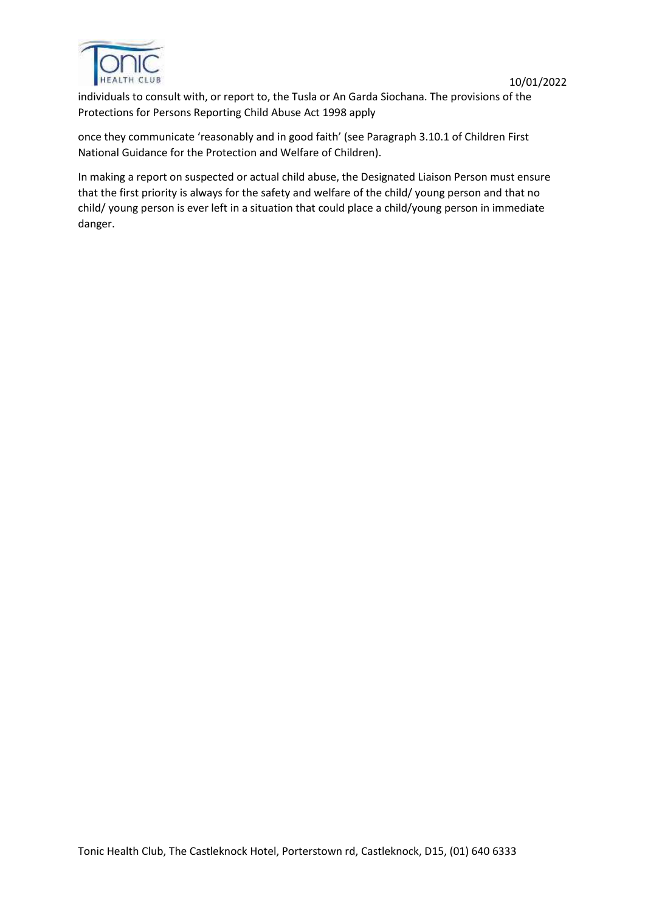

individuals to consult with, or report to, the Tusla or An Garda Siochana. The provisions of the Protections for Persons Reporting Child Abuse Act 1998 apply

once they communicate 'reasonably and in good faith' (see Paragraph 3.10.1 of Children First National Guidance for the Protection and Welfare of Children).

In making a report on suspected or actual child abuse, the Designated Liaison Person must ensure that the first priority is always for the safety and welfare of the child/ young person and that no child/ young person is ever left in a situation that could place a child/young person in immediate danger.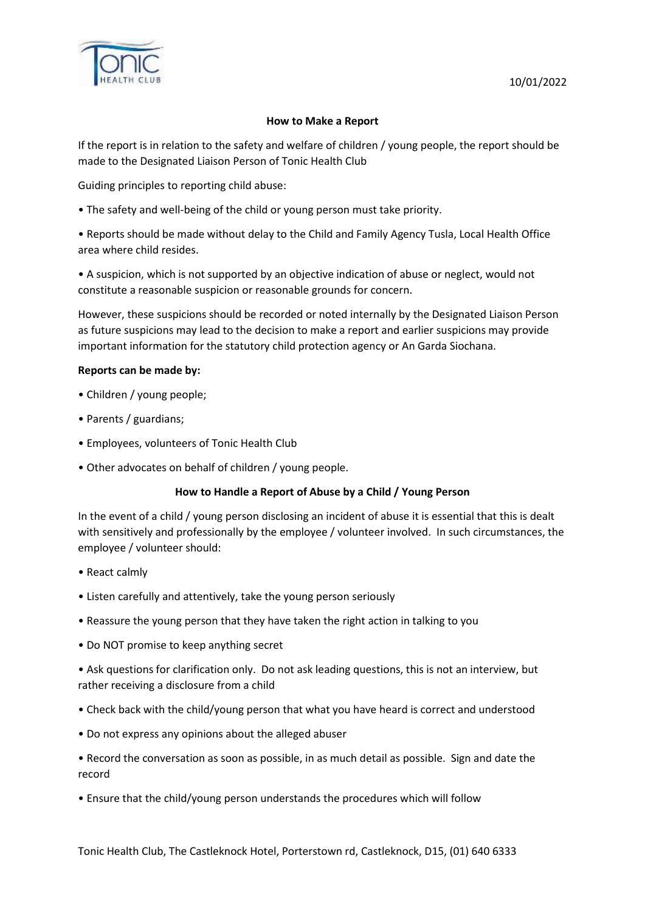

### **How to Make a Report**

If the report is in relation to the safety and welfare of children / young people, the report should be made to the Designated Liaison Person of Tonic Health Club

Guiding principles to reporting child abuse:

• The safety and well-being of the child or young person must take priority.

• Reports should be made without delay to the Child and Family Agency Tusla, Local Health Office area where child resides.

• A suspicion, which is not supported by an objective indication of abuse or neglect, would not constitute a reasonable suspicion or reasonable grounds for concern.

However, these suspicions should be recorded or noted internally by the Designated Liaison Person as future suspicions may lead to the decision to make a report and earlier suspicions may provide important information for the statutory child protection agency or An Garda Siochana.

#### **Reports can be made by:**

- Children / young people;
- Parents / guardians;
- Employees, volunteers of Tonic Health Club
- Other advocates on behalf of children / young people.

#### **How to Handle a Report of Abuse by a Child / Young Person**

In the event of a child / young person disclosing an incident of abuse it is essential that this is dealt with sensitively and professionally by the employee / volunteer involved. In such circumstances, the employee / volunteer should:

- React calmly
- Listen carefully and attentively, take the young person seriously
- Reassure the young person that they have taken the right action in talking to you
- Do NOT promise to keep anything secret

• Ask questions for clarification only. Do not ask leading questions, this is not an interview, but rather receiving a disclosure from a child

- Check back with the child/young person that what you have heard is correct and understood
- Do not express any opinions about the alleged abuser
- Record the conversation as soon as possible, in as much detail as possible. Sign and date the record
- Ensure that the child/young person understands the procedures which will follow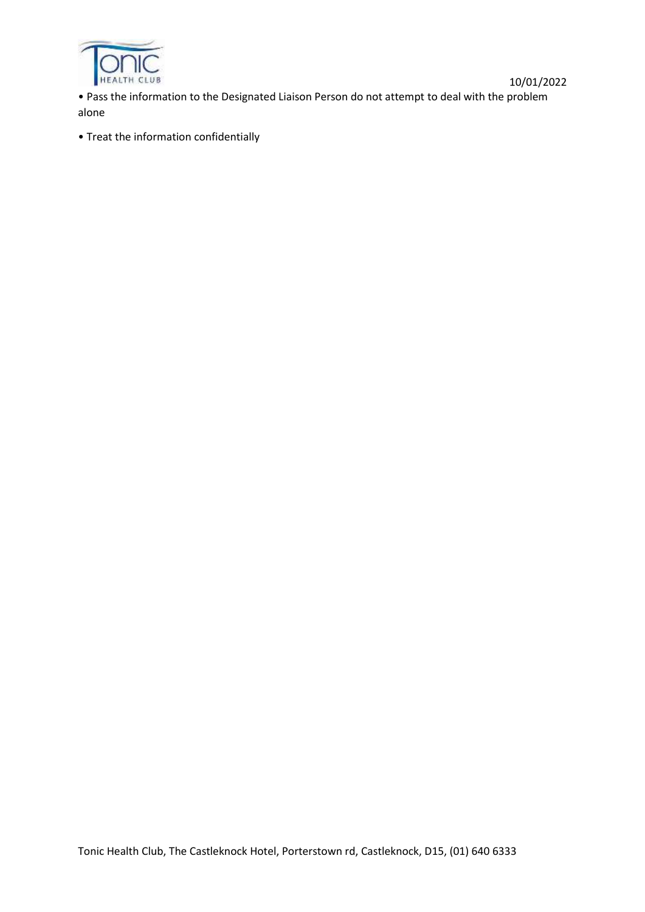

10/01/2022 • Pass the information to the Designated Liaison Person do not attempt to deal with the problem alone

• Treat the information confidentially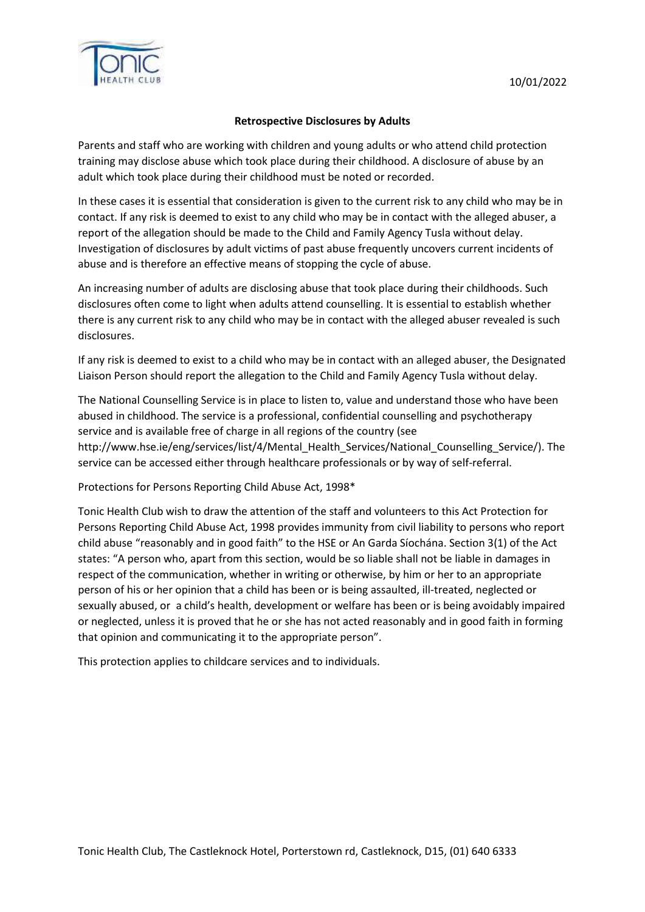

### **Retrospective Disclosures by Adults**

Parents and staff who are working with children and young adults or who attend child protection training may disclose abuse which took place during their childhood. A disclosure of abuse by an adult which took place during their childhood must be noted or recorded.

In these cases it is essential that consideration is given to the current risk to any child who may be in contact. If any risk is deemed to exist to any child who may be in contact with the alleged abuser, a report of the allegation should be made to the Child and Family Agency Tusla without delay. Investigation of disclosures by adult victims of past abuse frequently uncovers current incidents of abuse and is therefore an effective means of stopping the cycle of abuse.

An increasing number of adults are disclosing abuse that took place during their childhoods. Such disclosures often come to light when adults attend counselling. It is essential to establish whether there is any current risk to any child who may be in contact with the alleged abuser revealed is such disclosures.

If any risk is deemed to exist to a child who may be in contact with an alleged abuser, the Designated Liaison Person should report the allegation to the Child and Family Agency Tusla without delay.

The National Counselling Service is in place to listen to, value and understand those who have been abused in childhood. The service is a professional, confidential counselling and psychotherapy service and is available free of charge in all regions of the country (see http://www.hse.ie/eng/services/list/4/Mental\_Health\_Services/National\_Counselling\_Service/). The service can be accessed either through healthcare professionals or by way of self-referral.

Protections for Persons Reporting Child Abuse Act, 1998\*

Tonic Health Club wish to draw the attention of the staff and volunteers to this Act Protection for Persons Reporting Child Abuse Act, 1998 provides immunity from civil liability to persons who report child abuse "reasonably and in good faith" to the HSE or An Garda Síochána. Section 3(1) of the Act states: "A person who, apart from this section, would be so liable shall not be liable in damages in respect of the communication, whether in writing or otherwise, by him or her to an appropriate person of his or her opinion that a child has been or is being assaulted, ill-treated, neglected or sexually abused, or a child's health, development or welfare has been or is being avoidably impaired or neglected, unless it is proved that he or she has not acted reasonably and in good faith in forming that opinion and communicating it to the appropriate person".

This protection applies to childcare services and to individuals.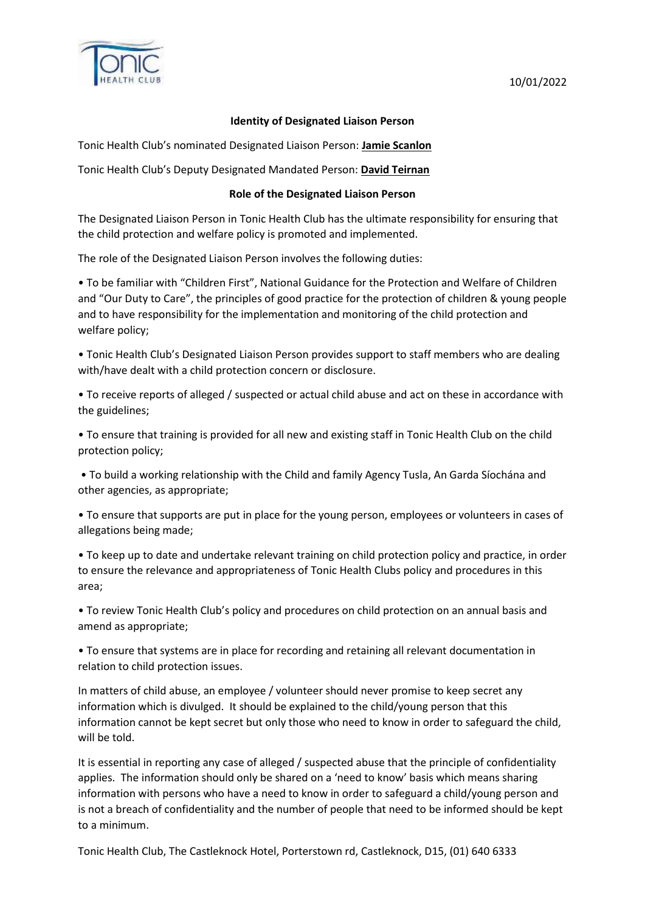

# 10/01/2022

#### **Identity of Designated Liaison Person**

Tonic Health Club's nominated Designated Liaison Person: **Jamie Scanlon**

Tonic Health Club's Deputy Designated Mandated Person: **David Teirnan**

### **Role of the Designated Liaison Person**

The Designated Liaison Person in Tonic Health Club has the ultimate responsibility for ensuring that the child protection and welfare policy is promoted and implemented.

The role of the Designated Liaison Person involves the following duties:

• To be familiar with "Children First", National Guidance for the Protection and Welfare of Children and "Our Duty to Care", the principles of good practice for the protection of children & young people and to have responsibility for the implementation and monitoring of the child protection and welfare policy;

• Tonic Health Club's Designated Liaison Person provides support to staff members who are dealing with/have dealt with a child protection concern or disclosure.

• To receive reports of alleged / suspected or actual child abuse and act on these in accordance with the guidelines;

• To ensure that training is provided for all new and existing staff in Tonic Health Club on the child protection policy;

• To build a working relationship with the Child and family Agency Tusla, An Garda Síochána and other agencies, as appropriate;

• To ensure that supports are put in place for the young person, employees or volunteers in cases of allegations being made;

• To keep up to date and undertake relevant training on child protection policy and practice, in order to ensure the relevance and appropriateness of Tonic Health Clubs policy and procedures in this area;

• To review Tonic Health Club's policy and procedures on child protection on an annual basis and amend as appropriate;

• To ensure that systems are in place for recording and retaining all relevant documentation in relation to child protection issues.

In matters of child abuse, an employee / volunteer should never promise to keep secret any information which is divulged. It should be explained to the child/young person that this information cannot be kept secret but only those who need to know in order to safeguard the child, will be told.

It is essential in reporting any case of alleged / suspected abuse that the principle of confidentiality applies. The information should only be shared on a 'need to know' basis which means sharing information with persons who have a need to know in order to safeguard a child/young person and is not a breach of confidentiality and the number of people that need to be informed should be kept to a minimum.

Tonic Health Club, The Castleknock Hotel, Porterstown rd, Castleknock, D15, (01) 640 6333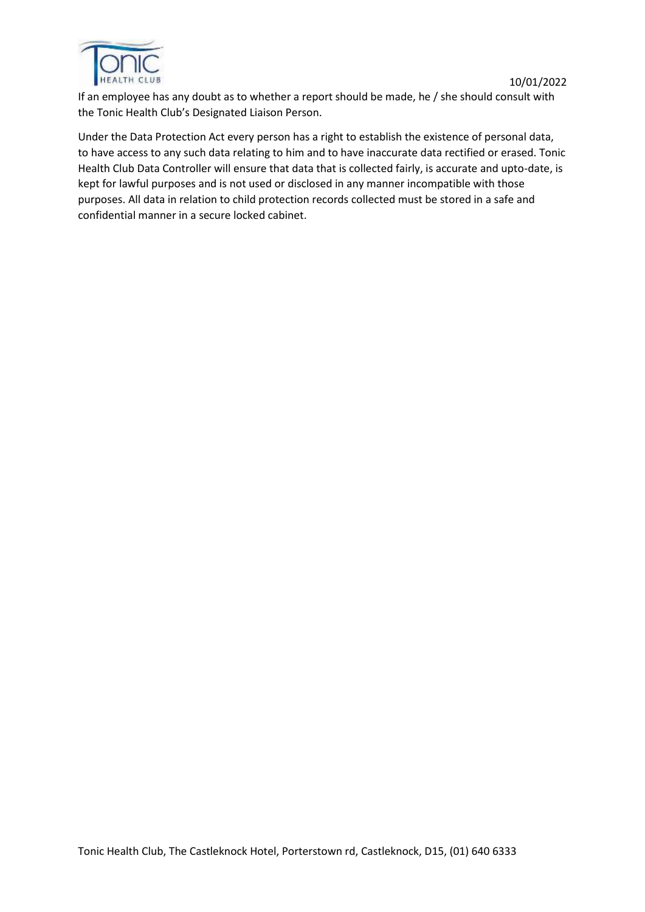

If an employee has any doubt as to whether a report should be made, he / she should consult with the Tonic Health Club's Designated Liaison Person.

Under the Data Protection Act every person has a right to establish the existence of personal data, to have access to any such data relating to him and to have inaccurate data rectified or erased. Tonic Health Club Data Controller will ensure that data that is collected fairly, is accurate and upto-date, is kept for lawful purposes and is not used or disclosed in any manner incompatible with those purposes. All data in relation to child protection records collected must be stored in a safe and confidential manner in a secure locked cabinet.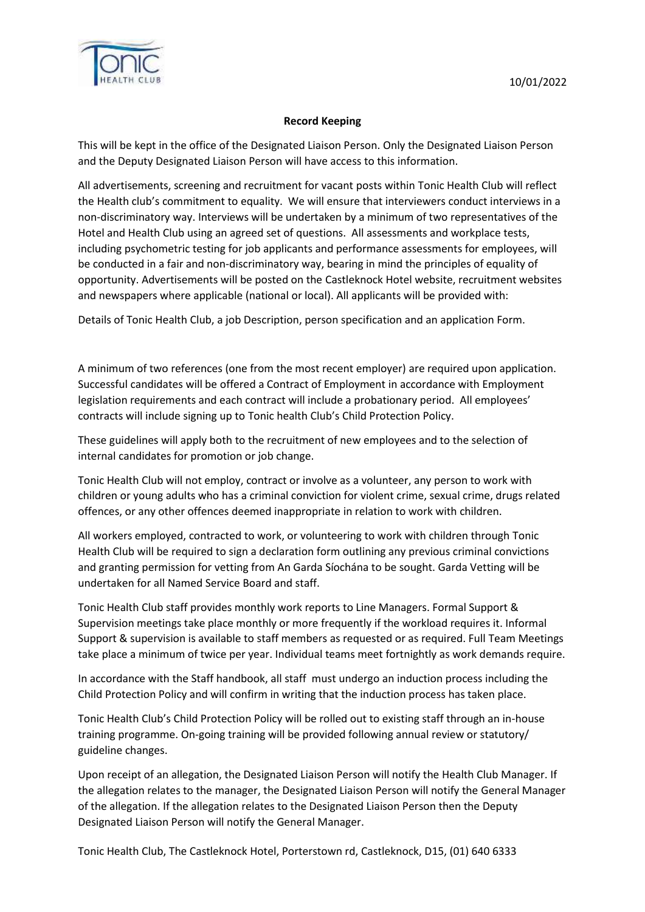

# **Record Keeping**

This will be kept in the office of the Designated Liaison Person. Only the Designated Liaison Person and the Deputy Designated Liaison Person will have access to this information.

All advertisements, screening and recruitment for vacant posts within Tonic Health Club will reflect the Health club's commitment to equality. We will ensure that interviewers conduct interviews in a non-discriminatory way. Interviews will be undertaken by a minimum of two representatives of the Hotel and Health Club using an agreed set of questions. All assessments and workplace tests, including psychometric testing for job applicants and performance assessments for employees, will be conducted in a fair and non-discriminatory way, bearing in mind the principles of equality of opportunity. Advertisements will be posted on the Castleknock Hotel website, recruitment websites and newspapers where applicable (national or local). All applicants will be provided with:

Details of Tonic Health Club, a job Description, person specification and an application Form.

A minimum of two references (one from the most recent employer) are required upon application. Successful candidates will be offered a Contract of Employment in accordance with Employment legislation requirements and each contract will include a probationary period. All employees' contracts will include signing up to Tonic health Club's Child Protection Policy.

These guidelines will apply both to the recruitment of new employees and to the selection of internal candidates for promotion or job change.

Tonic Health Club will not employ, contract or involve as a volunteer, any person to work with children or young adults who has a criminal conviction for violent crime, sexual crime, drugs related offences, or any other offences deemed inappropriate in relation to work with children.

All workers employed, contracted to work, or volunteering to work with children through Tonic Health Club will be required to sign a declaration form outlining any previous criminal convictions and granting permission for vetting from An Garda Síochána to be sought. Garda Vetting will be undertaken for all Named Service Board and staff.

Tonic Health Club staff provides monthly work reports to Line Managers. Formal Support & Supervision meetings take place monthly or more frequently if the workload requires it. Informal Support & supervision is available to staff members as requested or as required. Full Team Meetings take place a minimum of twice per year. Individual teams meet fortnightly as work demands require.

In accordance with the Staff handbook, all staff must undergo an induction process including the Child Protection Policy and will confirm in writing that the induction process has taken place.

Tonic Health Club's Child Protection Policy will be rolled out to existing staff through an in-house training programme. On-going training will be provided following annual review or statutory/ guideline changes.

Upon receipt of an allegation, the Designated Liaison Person will notify the Health Club Manager. If the allegation relates to the manager, the Designated Liaison Person will notify the General Manager of the allegation. If the allegation relates to the Designated Liaison Person then the Deputy Designated Liaison Person will notify the General Manager.

Tonic Health Club, The Castleknock Hotel, Porterstown rd, Castleknock, D15, (01) 640 6333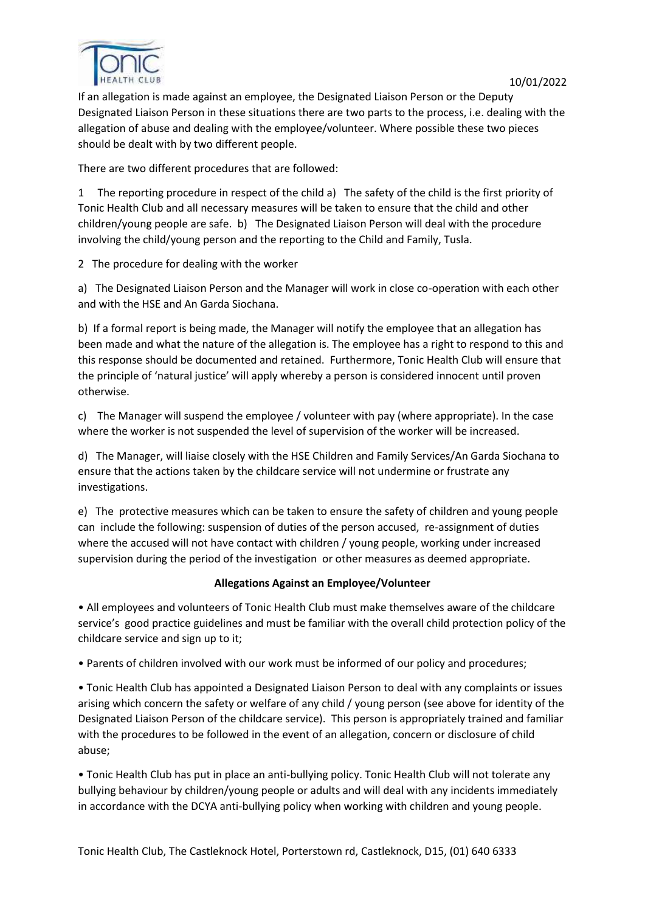

If an allegation is made against an employee, the Designated Liaison Person or the Deputy Designated Liaison Person in these situations there are two parts to the process, i.e. dealing with the allegation of abuse and dealing with the employee/volunteer. Where possible these two pieces should be dealt with by two different people.

There are two different procedures that are followed:

1 The reporting procedure in respect of the child a) The safety of the child is the first priority of Tonic Health Club and all necessary measures will be taken to ensure that the child and other children/young people are safe. b) The Designated Liaison Person will deal with the procedure involving the child/young person and the reporting to the Child and Family, Tusla.

2 The procedure for dealing with the worker

a) The Designated Liaison Person and the Manager will work in close co-operation with each other and with the HSE and An Garda Siochana.

b) If a formal report is being made, the Manager will notify the employee that an allegation has been made and what the nature of the allegation is. The employee has a right to respond to this and this response should be documented and retained. Furthermore, Tonic Health Club will ensure that the principle of 'natural justice' will apply whereby a person is considered innocent until proven otherwise.

c) The Manager will suspend the employee / volunteer with pay (where appropriate). In the case where the worker is not suspended the level of supervision of the worker will be increased.

d) The Manager, will liaise closely with the HSE Children and Family Services/An Garda Siochana to ensure that the actions taken by the childcare service will not undermine or frustrate any investigations.

e) The protective measures which can be taken to ensure the safety of children and young people can include the following: suspension of duties of the person accused, re-assignment of duties where the accused will not have contact with children / young people, working under increased supervision during the period of the investigation or other measures as deemed appropriate.

# **Allegations Against an Employee/Volunteer**

• All employees and volunteers of Tonic Health Club must make themselves aware of the childcare service's good practice guidelines and must be familiar with the overall child protection policy of the childcare service and sign up to it;

• Parents of children involved with our work must be informed of our policy and procedures;

• Tonic Health Club has appointed a Designated Liaison Person to deal with any complaints or issues arising which concern the safety or welfare of any child / young person (see above for identity of the Designated Liaison Person of the childcare service). This person is appropriately trained and familiar with the procedures to be followed in the event of an allegation, concern or disclosure of child abuse;

• Tonic Health Club has put in place an anti-bullying policy. Tonic Health Club will not tolerate any bullying behaviour by children/young people or adults and will deal with any incidents immediately in accordance with the DCYA anti-bullying policy when working with children and young people.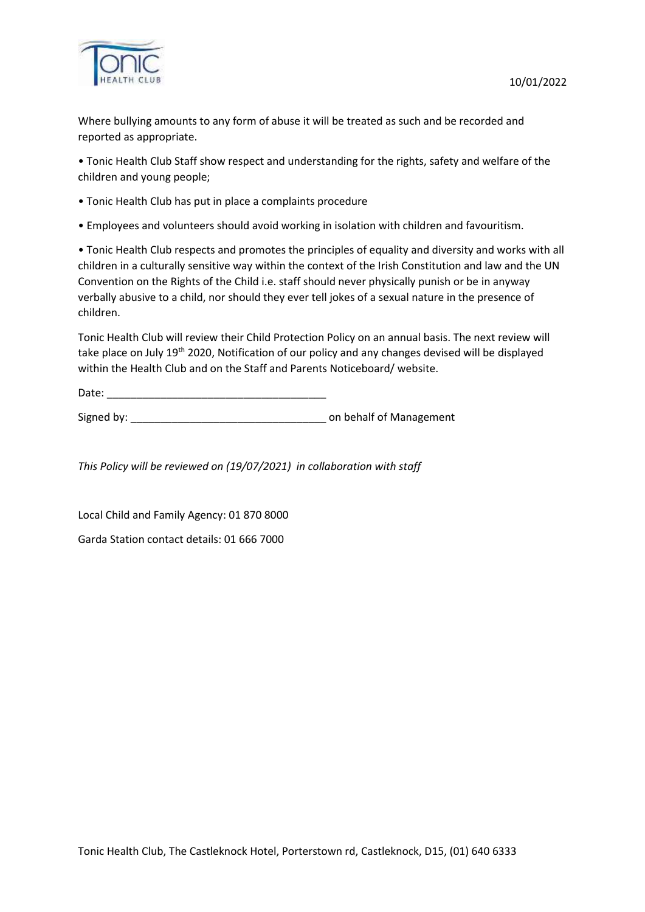

Where bullying amounts to any form of abuse it will be treated as such and be recorded and reported as appropriate.

• Tonic Health Club Staff show respect and understanding for the rights, safety and welfare of the children and young people;

- Tonic Health Club has put in place a complaints procedure
- Employees and volunteers should avoid working in isolation with children and favouritism.

• Tonic Health Club respects and promotes the principles of equality and diversity and works with all children in a culturally sensitive way within the context of the Irish Constitution and law and the UN Convention on the Rights of the Child i.e. staff should never physically punish or be in anyway verbally abusive to a child, nor should they ever tell jokes of a sexual nature in the presence of children.

Tonic Health Club will review their Child Protection Policy on an annual basis. The next review will take place on July 19<sup>th</sup> 2020, Notification of our policy and any changes devised will be displayed within the Health Club and on the Staff and Parents Noticeboard/ website.

Date: \_\_\_\_\_\_\_\_\_\_\_\_\_\_\_\_\_\_\_\_\_\_\_\_\_\_\_\_\_\_\_\_\_\_\_\_\_

Signed by: \_\_\_\_\_\_\_\_\_\_\_\_\_\_\_\_\_\_\_\_\_\_\_\_\_\_\_\_\_\_\_\_\_ on behalf of Management

*This Policy will be reviewed on (19/07/2021) in collaboration with staff*

Local Child and Family Agency: 01 870 8000

Garda Station contact details: 01 666 [7000](tel:+35316667000)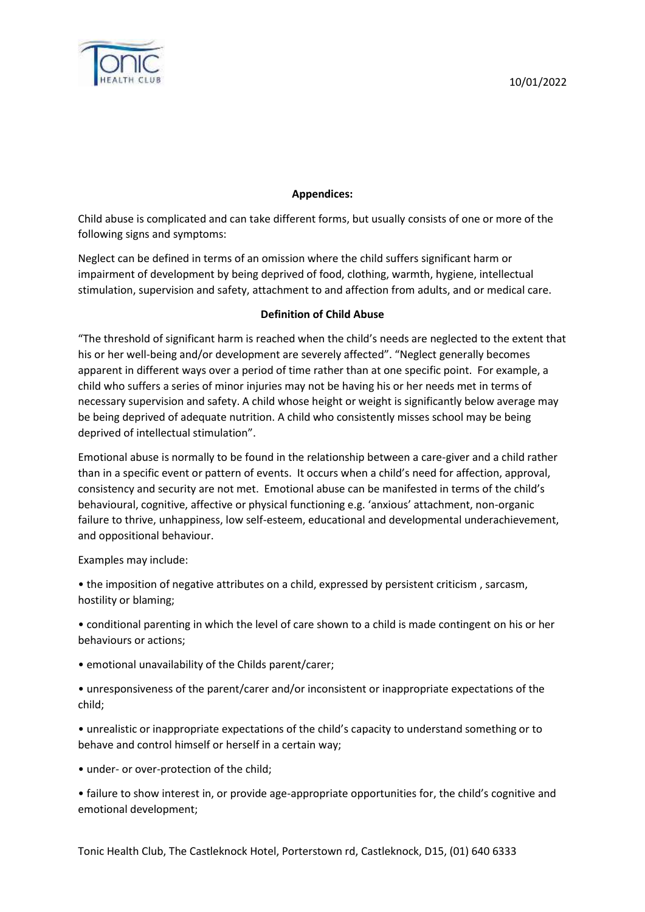

# **Appendices:**

Child abuse is complicated and can take different forms, but usually consists of one or more of the following signs and symptoms:

Neglect can be defined in terms of an omission where the child suffers significant harm or impairment of development by being deprived of food, clothing, warmth, hygiene, intellectual stimulation, supervision and safety, attachment to and affection from adults, and or medical care.

### **Definition of Child Abuse**

"The threshold of significant harm is reached when the child's needs are neglected to the extent that his or her well-being and/or development are severely affected". "Neglect generally becomes apparent in different ways over a period of time rather than at one specific point. For example, a child who suffers a series of minor injuries may not be having his or her needs met in terms of necessary supervision and safety. A child whose height or weight is significantly below average may be being deprived of adequate nutrition. A child who consistently misses school may be being deprived of intellectual stimulation".

Emotional abuse is normally to be found in the relationship between a care-giver and a child rather than in a specific event or pattern of events. It occurs when a child's need for affection, approval, consistency and security are not met. Emotional abuse can be manifested in terms of the child's behavioural, cognitive, affective or physical functioning e.g. 'anxious' attachment, non-organic failure to thrive, unhappiness, low self-esteem, educational and developmental underachievement, and oppositional behaviour.

Examples may include:

• the imposition of negative attributes on a child, expressed by persistent criticism , sarcasm, hostility or blaming;

• conditional parenting in which the level of care shown to a child is made contingent on his or her behaviours or actions;

- emotional unavailability of the Childs parent/carer;
- unresponsiveness of the parent/carer and/or inconsistent or inappropriate expectations of the child;
- unrealistic or inappropriate expectations of the child's capacity to understand something or to behave and control himself or herself in a certain way;
- under- or over-protection of the child;

• failure to show interest in, or provide age-appropriate opportunities for, the child's cognitive and emotional development;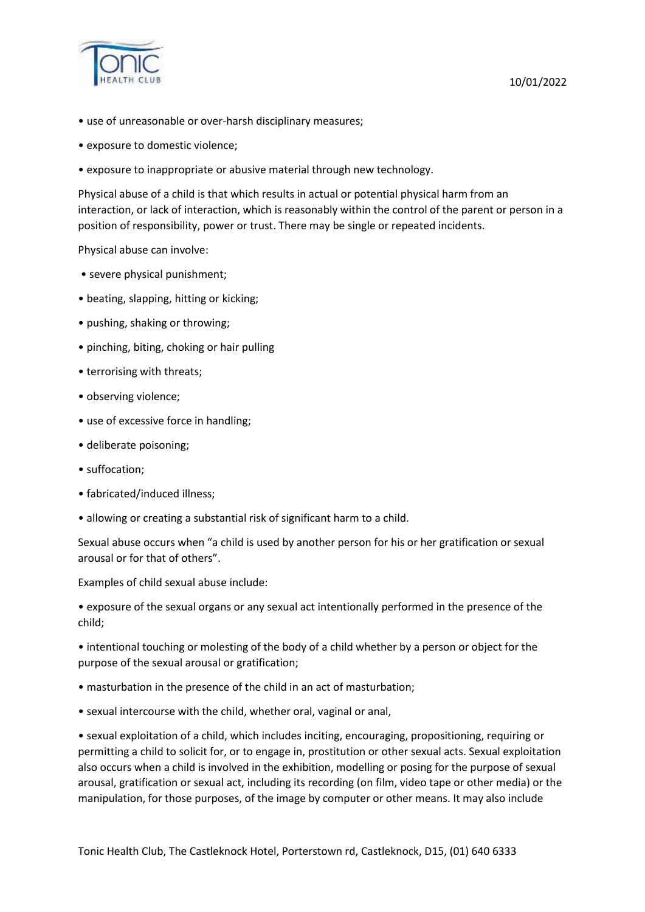

- use of unreasonable or over-harsh disciplinary measures;
- exposure to domestic violence;
- exposure to inappropriate or abusive material through new technology.

Physical abuse of a child is that which results in actual or potential physical harm from an interaction, or lack of interaction, which is reasonably within the control of the parent or person in a position of responsibility, power or trust. There may be single or repeated incidents.

Physical abuse can involve:

- severe physical punishment;
- beating, slapping, hitting or kicking;
- pushing, shaking or throwing;
- pinching, biting, choking or hair pulling
- terrorising with threats;
- observing violence;
- use of excessive force in handling;
- deliberate poisoning;
- suffocation;
- fabricated/induced illness;
- allowing or creating a substantial risk of significant harm to a child.

Sexual abuse occurs when "a child is used by another person for his or her gratification or sexual arousal or for that of others".

Examples of child sexual abuse include:

• exposure of the sexual organs or any sexual act intentionally performed in the presence of the child;

• intentional touching or molesting of the body of a child whether by a person or object for the purpose of the sexual arousal or gratification;

- masturbation in the presence of the child in an act of masturbation;
- sexual intercourse with the child, whether oral, vaginal or anal,

• sexual exploitation of a child, which includes inciting, encouraging, propositioning, requiring or permitting a child to solicit for, or to engage in, prostitution or other sexual acts. Sexual exploitation also occurs when a child is involved in the exhibition, modelling or posing for the purpose of sexual arousal, gratification or sexual act, including its recording (on film, video tape or other media) or the manipulation, for those purposes, of the image by computer or other means. It may also include